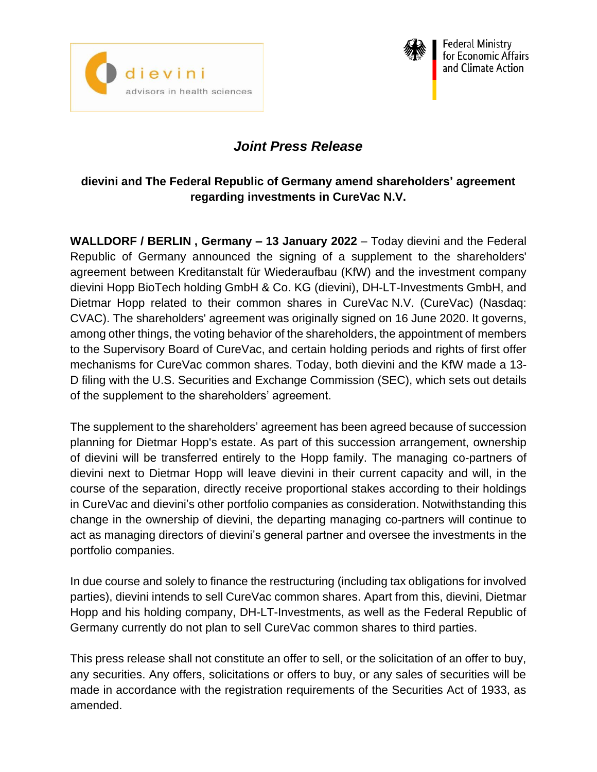



Federal Ministry for Economic Affairs and Climate Action

## *Joint Press Release*

## **dievini and The Federal Republic of Germany amend shareholders' agreement regarding investments in CureVac N.V.**

**WALLDORF / BERLIN , Germany – 13 January 2022** – Today dievini and the Federal Republic of Germany announced the signing of a supplement to the shareholders' agreement between Kreditanstalt für Wiederaufbau (KfW) and the investment company dievini Hopp BioTech holding GmbH & Co. KG (dievini), DH-LT-Investments GmbH, and Dietmar Hopp related to their common shares in CureVac N.V. (CureVac) (Nasdaq: CVAC). The shareholders' agreement was originally signed on 16 June 2020. It governs, among other things, the voting behavior of the shareholders, the appointment of members to the Supervisory Board of CureVac, and certain holding periods and rights of first offer mechanisms for CureVac common shares. Today, both dievini and the KfW made a 13- D filing with the U.S. Securities and Exchange Commission (SEC), which sets out details of the supplement to the shareholders' agreement.

The supplement to the shareholders' agreement has been agreed because of succession planning for Dietmar Hopp's estate. As part of this succession arrangement, ownership of dievini will be transferred entirely to the Hopp family. The managing co-partners of dievini next to Dietmar Hopp will leave dievini in their current capacity and will, in the course of the separation, directly receive proportional stakes according to their holdings in CureVac and dievini's other portfolio companies as consideration. Notwithstanding this change in the ownership of dievini, the departing managing co-partners will continue to act as managing directors of dievini's general partner and oversee the investments in the portfolio companies.

In due course and solely to finance the restructuring (including tax obligations for involved parties), dievini intends to sell CureVac common shares. Apart from this, dievini, Dietmar Hopp and his holding company, DH-LT-Investments, as well as the Federal Republic of Germany currently do not plan to sell CureVac common shares to third parties.

This press release shall not constitute an offer to sell, or the solicitation of an offer to buy, any securities. Any offers, solicitations or offers to buy, or any sales of securities will be made in accordance with the registration requirements of the Securities Act of 1933, as amended.